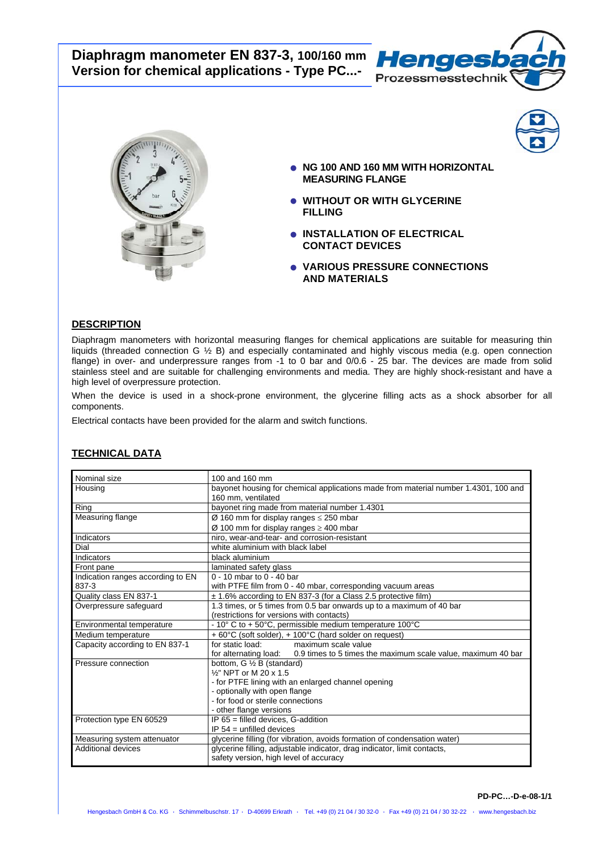# **Diaphragm manometer EN 837-3, 100/160 mm Version for chemical applications - Type PC...-**





- **NG 100 AND 160 MM WITH HORIZONTAL MEASURING FLANGE**
- **WITHOUT OR WITH GLYCERINE FILLING**
- **INSTALLATION OF ELECTRICAL CONTACT DEVICES**
- **VARIOUS PRESSURE CONNECTIONS AND MATERIALS**

# **DESCRIPTION**

Diaphragm manometers with horizontal measuring flanges for chemical applications are suitable for measuring thin liquids (threaded connection G ½ B) and especially contaminated and highly viscous media (e.g. open connection flange) in over- and underpressure ranges from -1 to 0 bar and 0/0.6 - 25 bar. The devices are made from solid stainless steel and are suitable for challenging environments and media. They are highly shock-resistant and have a high level of overpressure protection.

When the device is used in a shock-prone environment, the glycerine filling acts as a shock absorber for all components.

Electrical contacts have been provided for the alarm and switch functions.

| Nominal size                      | 100 and 160 mm                                                                        |
|-----------------------------------|---------------------------------------------------------------------------------------|
| Housing                           | bayonet housing for chemical applications made from material number 1.4301, 100 and   |
|                                   | 160 mm, ventilated                                                                    |
| Ring                              | bayonet ring made from material number 1.4301                                         |
| Measuring flange                  | Ø 160 mm for display ranges $\leq$ 250 mbar                                           |
|                                   | Ø 100 mm for display ranges $\geq$ 400 mbar                                           |
| Indicators                        | niro, wear-and-tear- and corrosion-resistant                                          |
| Dial                              | white aluminium with black label                                                      |
| Indicators                        | black aluminium                                                                       |
| Front pane                        | laminated safety glass                                                                |
| Indication ranges according to EN | $0 - 10$ mbar to $0 - 40$ bar                                                         |
| 837-3                             | with PTFE film from 0 - 40 mbar, corresponding vacuum areas                           |
| Quality class EN 837-1            | ± 1.6% according to EN 837-3 (for a Class 2.5 protective film)                        |
| Overpressure safequard            | 1.3 times, or 5 times from 0.5 bar onwards up to a maximum of 40 bar                  |
|                                   | (restrictions for versions with contacts)                                             |
| Environmental temperature         | $-10^{\circ}$ C to + 50 $^{\circ}$ C, permissible medium temperature 100 $^{\circ}$ C |
| Medium temperature                | + 60°C (soft solder), + 100°C (hard solder on request)                                |
| Capacity according to EN 837-1    | maximum scale value<br>for static load:                                               |
|                                   | for alternating load:<br>0.9 times to 5 times the maximum scale value, maximum 40 bar |
| Pressure connection               | bottom, G 1/2 B (standard)                                                            |
|                                   | 1/ <sub>2</sub> " NPT or M 20 x 1.5                                                   |
|                                   | - for PTFE lining with an enlarged channel opening                                    |
|                                   | - optionally with open flange                                                         |
|                                   | - for food or sterile connections                                                     |
|                                   | - other flange versions                                                               |
| Protection type EN 60529          | $IP$ 65 = filled devices. G-addition                                                  |
|                                   | IP $54 =$ unfilled devices                                                            |
| Measuring system attenuator       | glycerine filling (for vibration, avoids formation of condensation water)             |
| Additional devices                | glycerine filling, adjustable indicator, drag indicator, limit contacts,              |
|                                   | safety version, high level of accuracy                                                |

# **TECHNICAL DATA**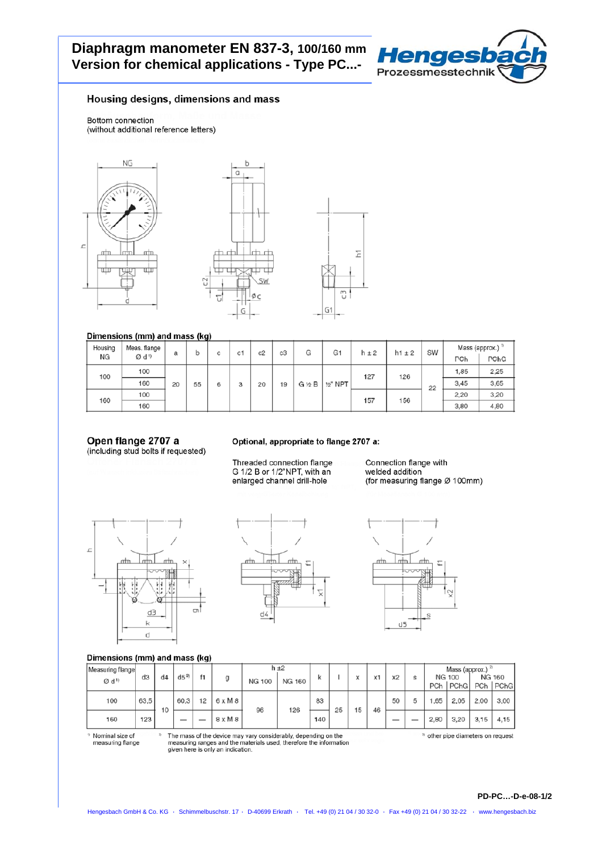# Diaphragm manometer EN 837-3, 100/160 mm Version for chemical applications - Type PC...-



## Housing designs, dimensions and mass

Bottom connection (without additional reference letters)



#### Dimensions (mm) and mass (kg)

| Housing | Meas. flange     | a  | b  | с   | c1  | c2 | c3   | G    | G <sub>1</sub>                      | $h \pm 2$ | $h1 \pm 2$ | SW | Mass (approx.) <sup>2</sup> |      |  |
|---------|------------------|----|----|-----|-----|----|------|------|-------------------------------------|-----------|------------|----|-----------------------------|------|--|
| ΝG      | Ød <sup>1)</sup> |    |    |     |     |    |      |      |                                     |           |            |    | PCh                         | PChG |  |
| 100     | 100              |    |    | 127 | 126 |    | 1,85 | 2,25 |                                     |           |            |    |                             |      |  |
|         | 160              | 20 | 55 | 6   | 3   | 20 | 19   |      | $G \nless B \mid \frac{1}{2}$ " NPT |           |            | 22 | 3,45                        | 3,65 |  |
| 160     | 100              |    |    |     |     |    |      |      |                                     | 157       | 156        |    | 2,20                        | 3,20 |  |
|         | 160              |    |    |     |     |    |      |      |                                     |           |            |    | 3,80                        | 4,80 |  |

# Open flange 2707 a

(including stud bolts if requested)

#### Optional, appropriate to flange 2707 a:

Threaded connection flange G 1/2 B or 1/2"NPT, with an enlarged channel drill-hole

Connection flange with welded addition (for measuring flange Ø 100mm)

 $\pi$ 

S

 $r + n$ 

 $d5$ 



# Dimensions (mm) and mass (kg)

| <b>Principal comparently and mass (ng)</b> |      |    |                          |    |                |               |           |     |    |   |    |    |   |      |                                              |      |               |
|--------------------------------------------|------|----|--------------------------|----|----------------|---------------|-----------|-----|----|---|----|----|---|------|----------------------------------------------|------|---------------|
| Measuring flange                           | dЗ   | d4 | $d5^{30}$                | f1 | g              |               | $h \pm 2$ | ĸ   |    | x | X1 | x2 | s |      | Mass (approx.) <sup>3</sup><br><b>NG 100</b> |      | <b>NG 160</b> |
| $Ø$ d <sup>1)</sup>                        |      |    |                          |    |                | <b>NG 100</b> | NG 160    |     |    |   |    |    |   | PCh  | PChG                                         | PCh  | <b>PChG</b>   |
| 100                                        | 63,5 | 10 | 60,3                     | 12 | $6 \times M$ 8 | 96            | 126       | 83  | 25 | 5 | 46 | 50 | 5 | .65  | 2,05                                         | 2,00 | 3,00          |
| 160                                        | 123  |    | $\overline{\phantom{a}}$ |    | $8 \times M 8$ |               |           | 140 |    |   |    | __ |   | 2,80 | 3,20                                         | 3.15 | 4.15          |

<sup>1)</sup> Nominal size of measuring flange The mass of the device may vary considerably, depending on the measuring ranges and the materials used, therefore the information given here is only an indication.

m

 $\Box$ 

<sup>3)</sup> other pipe diameters on request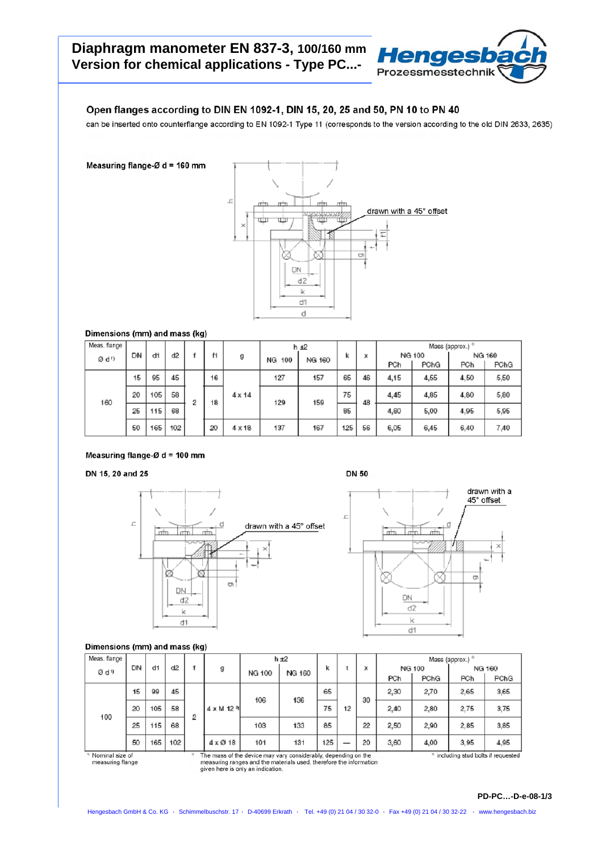

# Open flanges according to DIN EN 1092-1, DIN 15, 20, 25 and 50, PN 10 to PN 40

can be inserted onto counterflange according to EN 1092-1 Type 11 (corresponds to the version according to the old DIN 2633, 2635)

Measuring flange-Ø d = 160 mm



Dimensions (mm) and mass (kg)

| Meas. flange     |    |     |     |   |    |               |                     | $h + 2$ |     |    | Mass (approx.) $2$ |      |        |      |
|------------------|----|-----|-----|---|----|---------------|---------------------|---------|-----|----|--------------------|------|--------|------|
| Ø d <sup>1</sup> | DN | di  | d2  |   | f1 | g             | NG 160<br>100<br>NG |         | ĸ   | х  | NG 100             |      | NG 160 |      |
|                  |    |     |     |   |    |               |                     |         |     |    | PCh                | PChG | PCh    | PChG |
|                  | 15 | 95  | 45  |   | 16 |               | 127                 | 157     | 65  | 46 | 4,15               | 4,55 | 4.50   | 5,50 |
| 160              | 20 | 105 | 58  | 2 | 18 | $4 \times 14$ | 129                 | 159     | 75  | 48 | 4,45               | 4,85 | 4,80   | 5,80 |
|                  | 25 | 115 | 68  |   |    |               |                     |         | 85  |    | 4,60               | 5,00 | 4,95   | 5,95 |
|                  | 50 | 165 | 102 |   | 20 | $4 \times 18$ | 137                 | 167     | 125 | 56 | 6,05               | 6,45 | 6,40   | 7,40 |

## Measuring flange- $\emptyset$  d = 100 mm

## DN 15, 20 and 25







## Dimensions (mm) and mass (kg)

| Meas. flange |                                                                                                                                            |     |     |   |                     | $h + 2$       |        |     |  |      | Mass (approx.) $2$ |        |      |        |  |
|--------------|--------------------------------------------------------------------------------------------------------------------------------------------|-----|-----|---|---------------------|---------------|--------|-----|--|------|--------------------|--------|------|--------|--|
| Ød9          | DN                                                                                                                                         | d1  | d2  |   | g                   | <b>NG 100</b> | NG 160 | k   |  | x    |                    | NG 100 |      | NG 160 |  |
|              |                                                                                                                                            |     |     |   |                     |               |        |     |  |      | PCh                | PChG   | PCh  | PChG   |  |
|              | 15                                                                                                                                         | 99  | 45  |   |                     | 106           | 136    | 65  |  | 30   | 2,30               | 2,70   | 2,65 | 3,65   |  |
| 100          | 20                                                                                                                                         | 105 | 58  | 2 | $4 \times M$ 12 $9$ |               | 75     | 12  |  | 2.40 | 2,80               | 2.75   | 3,75 |        |  |
|              | 25                                                                                                                                         | 115 | 68  |   |                     | 103           | 133    | 85  |  | 22   | 2.50               | 2,90   | 2.85 | 3,85   |  |
|              | 50                                                                                                                                         | 165 | 102 |   | $4 \times 10$ 18    | 101           | 131    | 125 |  | 20   | 3,60               | 4,00   | 3,95 | 4,95   |  |
|              | Nominal size of<br>The mass of the device may vary considerably, depending on the<br>25<br><sup>3)</sup> including stud bolts if requested |     |     |   |                     |               |        |     |  |      |                    |        |      |        |  |

<sup>1)</sup> Nominal size of<br>measuring flange

The mass of the device may vary considerably, depending on the<br>measuring ranges and the materials used, therefore the information<br>given here is only an indication.

#### **PD-PC…-D-e-08-1/3**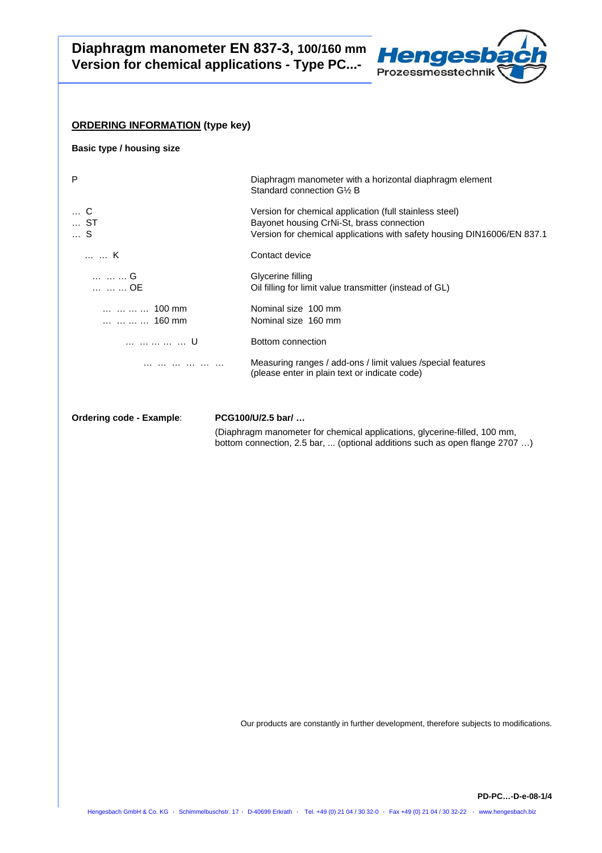

## **ORDERING INFORMATION (type key)**

**Basic type / housing size** 

| P                                                                                | Diaphragm manometer with a horizontal diaphragm element<br>Standard connection G1/2 B                                                                                           |
|----------------------------------------------------------------------------------|---------------------------------------------------------------------------------------------------------------------------------------------------------------------------------|
| C<br>ST<br>S                                                                     | Version for chemical application (full stainless steel)<br>Bayonet housing CrNi-St, brass connection<br>Version for chemical applications with safety housing DIN16006/EN 837.1 |
| K                                                                                | Contact device                                                                                                                                                                  |
| G<br>OE                                                                          | Glycerine filling<br>Oil filling for limit value transmitter (instead of GL)                                                                                                    |
| $\dots$ $\dots$ $\dots$ $\dots$ 100 mm<br>$\dots$ $\dots$ $\dots$ $\dots$ 160 mm | Nominal size 100 mm<br>Nominal size 160 mm                                                                                                                                      |
| U                                                                                | Bottom connection                                                                                                                                                               |
|                                                                                  | Measuring ranges / add-ons / limit values / special features<br>(please enter in plain text or indicate code)                                                                   |
|                                                                                  |                                                                                                                                                                                 |

**Ordering code - Example**: **PCG100/U/2.5 bar/ …**

 (Diaphragm manometer for chemical applications, glycerine-filled, 100 mm, bottom connection, 2.5 bar, ... (optional additions such as open flange 2707 …)

Our products are constantly in further development, therefore subjects to modifications.